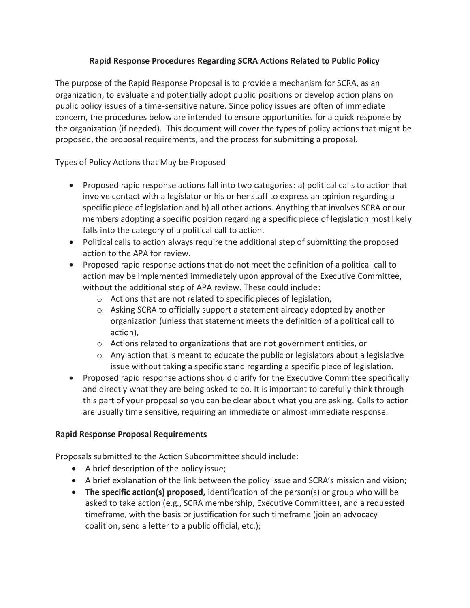## **Rapid Response Procedures Regarding SCRA Actions Related to Public Policy**

The purpose of the Rapid Response Proposal is to provide a mechanism for SCRA, as an organization, to evaluate and potentially adopt public positions or develop action plans on public policy issues of a time-sensitive nature. Since policy issues are often of immediate concern, the procedures below are intended to ensure opportunities for a quick response by the organization (if needed). This document will cover the types of policy actions that might be proposed, the proposal requirements, and the process for submitting a proposal.

Types of Policy Actions that May be Proposed

- Proposed rapid response actions fall into two categories: a) political calls to action that involve contact with a legislator or his or her staff to express an opinion regarding a specific piece of legislation and b) all other actions. Anything that involves SCRA or our members adopting a specific position regarding a specific piece of legislation most likely falls into the category of a political call to action.
- Political calls to action always require the additional step of submitting the proposed action to the APA for review.
- Proposed rapid response actions that do not meet the definition of a political call to action may be implemented immediately upon approval of the Executive Committee, without the additional step of APA review. These could include:
	- o Actions that are not related to specific pieces of legislation,
	- o Asking SCRA to officially support a statement already adopted by another organization (unless that statement meets the definition of a political call to action),
	- o Actions related to organizations that are not government entities, or
	- $\circ$  Any action that is meant to educate the public or legislators about a legislative issue without taking a specific stand regarding a specific piece of legislation.
- Proposed rapid response actions should clarify for the Executive Committee specifically and directly what they are being asked to do. It is important to carefully think through this part of your proposal so you can be clear about what you are asking. Calls to action are usually time sensitive, requiring an immediate or almost immediate response.

## **Rapid Response Proposal Requirements**

Proposals submitted to the Action Subcommittee should include:

- A brief description of the policy issue;
- A brief explanation of the link between the policy issue and SCRA's mission and vision;
- **The specific action(s) proposed,** identification of the person(s) or group who will be asked to take action (e.g., SCRA membership, Executive Committee), and a requested timeframe, with the basis or justification for such timeframe (join an advocacy coalition, send a letter to a public official, etc.);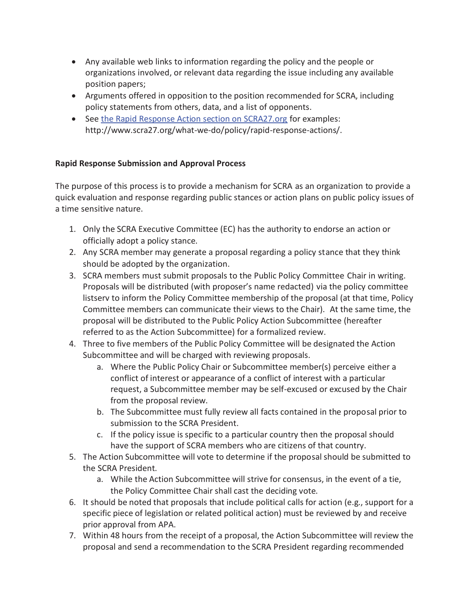- Any available web links to information regarding the policy and the people or organizations involved, or relevant data regarding the issue including any available position papers;
- Arguments offered in opposition to the position recommended for SCRA, including policy statements from others, data, and a list of opponents.
- See the Rapid Response Action section on SCRA27.org for examples: http://www.scra27.org/what-we-do/policy/rapid-response-actions/.

## **Rapid Response Submission and Approval Process**

The purpose of this process is to provide a mechanism for SCRA as an organization to provide a quick evaluation and response regarding public stances or action plans on public policy issues of a time sensitive nature.

- 1. Only the SCRA Executive Committee (EC) has the authority to endorse an action or officially adopt a policy stance.
- 2. Any SCRA member may generate a proposal regarding a policy stance that they think should be adopted by the organization.
- 3. SCRA members must submit proposals to the Public Policy Committee Chair in writing. Proposals will be distributed (with proposer's name redacted) via the policy committee listserv to inform the Policy Committee membership of the proposal (at that time, Policy Committee members can communicate their views to the Chair). At the same time, the proposal will be distributed to the Public Policy Action Subcommittee (hereafter referred to as the Action Subcommittee) for a formalized review.
- 4. Three to five members of the Public Policy Committee will be designated the Action Subcommittee and will be charged with reviewing proposals.
	- a. Where the Public Policy Chair or Subcommittee member(s) perceive either a conflict of interest or appearance of a conflict of interest with a particular request, a Subcommittee member may be self-excused or excused by the Chair from the proposal review.
	- b. The Subcommittee must fully review all facts contained in the proposal prior to submission to the SCRA President.
	- c. If the policy issue is specific to a particular country then the proposal should have the support of SCRA members who are citizens of that country.
- 5. The Action Subcommittee will vote to determine if the proposal should be submitted to the SCRA President.
	- a. While the Action Subcommittee will strive for consensus, in the event of a tie, the Policy Committee Chair shall cast the deciding vote.
- 6. It should be noted that proposals that include political calls for action (e.g., support for a specific piece of legislation or related political action) must be reviewed by and receive prior approval from APA.
- 7. Within 48 hours from the receipt of a proposal, the Action Subcommittee will review the proposal and send a recommendation to the SCRA President regarding recommended